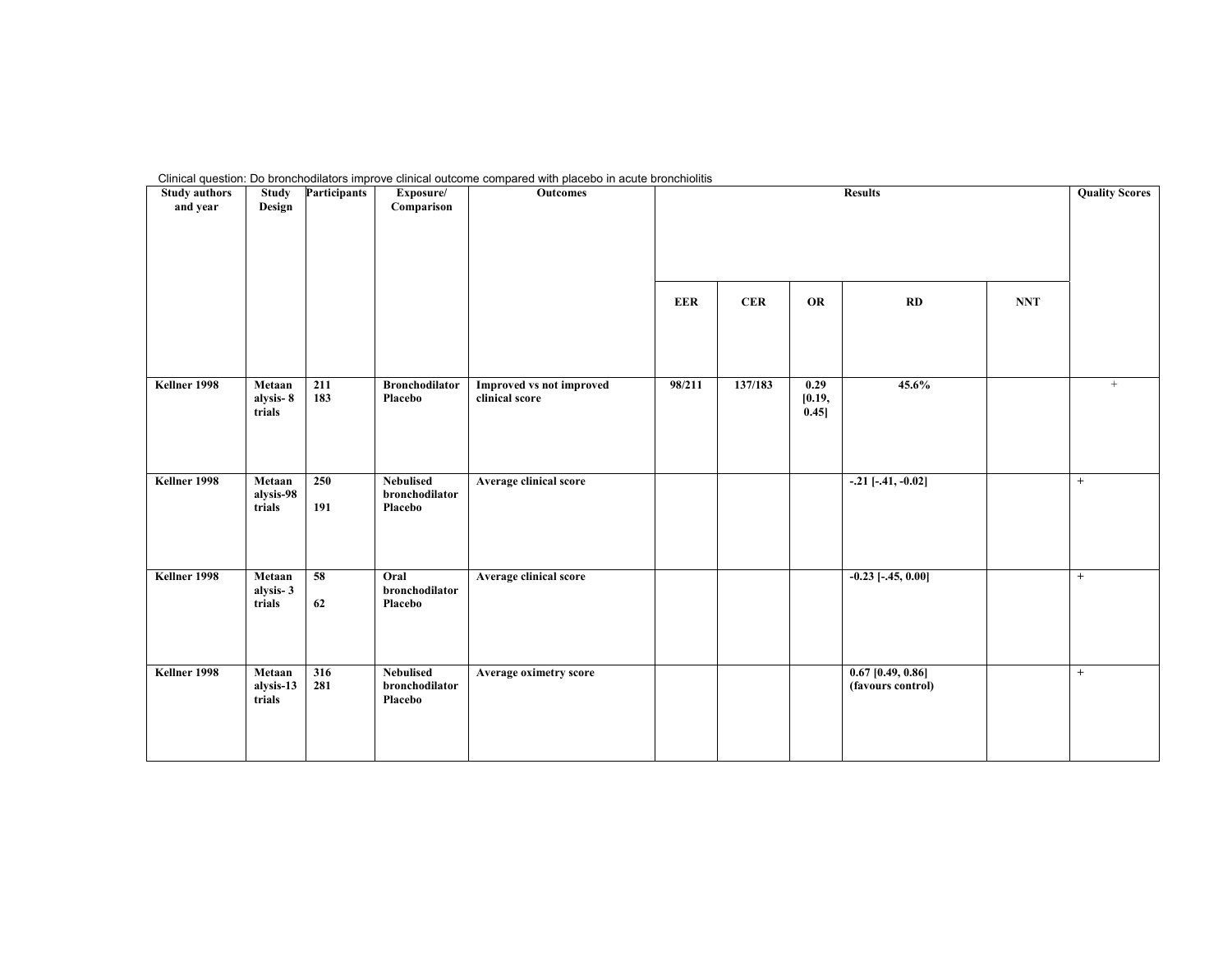| <b>Study authors</b><br>and year | <b>Study</b><br>Design        | <b>Participants</b> | Exposure/<br>Comparison                       | Outcomes                                          |            | <b>Quality Scores</b> |                          |                                          |            |        |
|----------------------------------|-------------------------------|---------------------|-----------------------------------------------|---------------------------------------------------|------------|-----------------------|--------------------------|------------------------------------------|------------|--------|
|                                  |                               |                     |                                               |                                                   | <b>EER</b> | <b>CER</b>            | <b>OR</b>                | RD                                       | <b>NNT</b> |        |
| Kellner 1998                     | Metaan<br>alysis-8<br>trials  | 211<br>183          | <b>Bronchodilator</b><br>Placebo              | <b>Improved vs not improved</b><br>clinical score | 98/211     | 137/183               | 0.29<br>[0.19,<br>[0.45] | 45.6%                                    |            | $\! +$ |
| Kellner 1998                     | Metaan<br>alysis-98<br>trials | 250<br>191          | <b>Nebulised</b><br>bronchodilator<br>Placebo | Average clinical score                            |            |                       |                          | $-.21$ [ $-.41, -0.02$ ]                 |            | $+$    |
| Kellner 1998                     | Metaan<br>alysis-3<br>trials  | 58<br>62            | Oral<br>bronchodilator<br>Placebo             | Average clinical score                            |            |                       |                          | $-0.23$ [ $-.45, 0.00$ ]                 |            | $+$    |
| Kellner 1998                     | Metaan<br>alysis-13<br>trials | 316<br>281          | <b>Nebulised</b><br>bronchodilator<br>Placebo | Average oximetry score                            |            |                       |                          | $0.67$ [0.49, 0.86]<br>(favours control) |            | $+$    |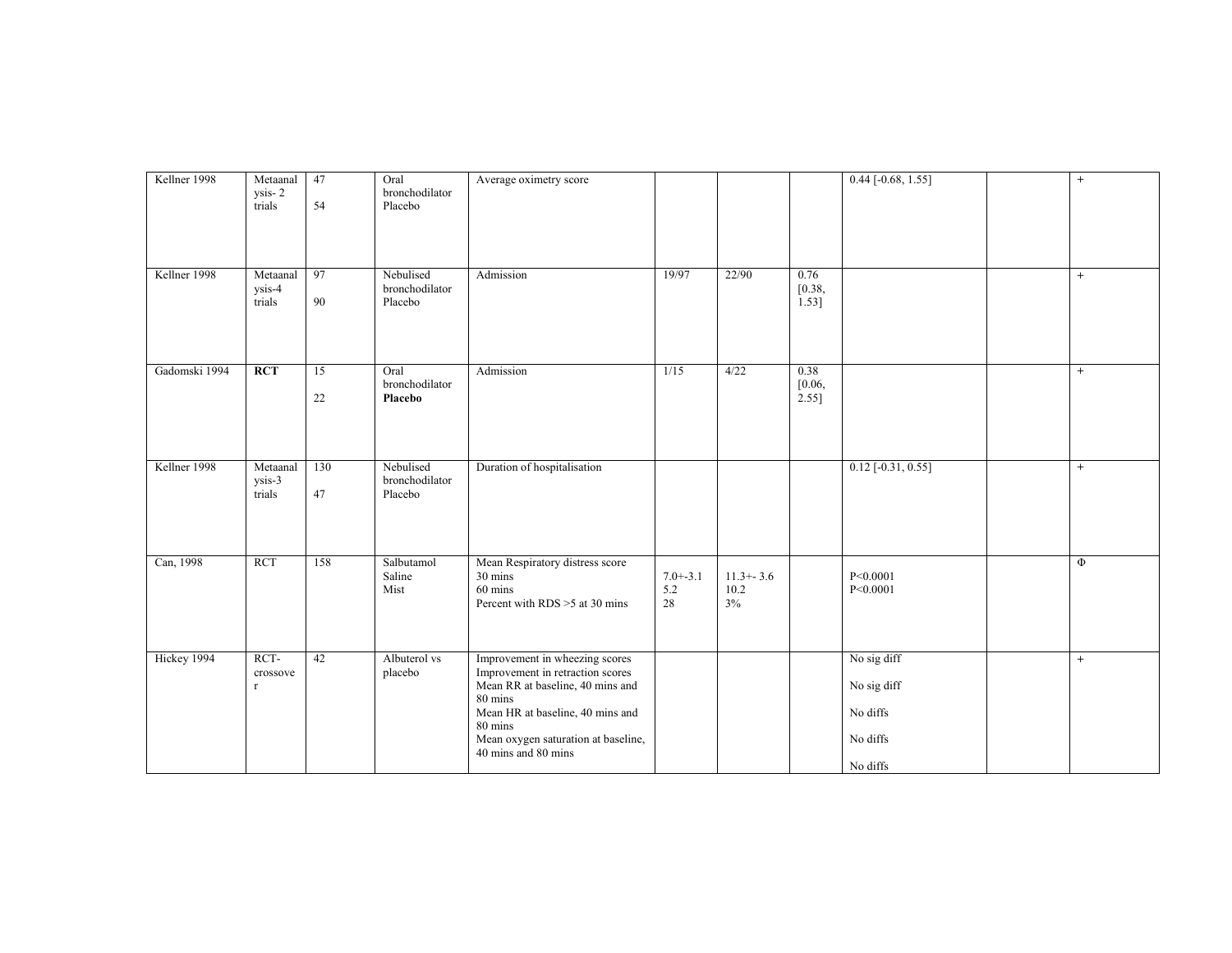| Kellner 1998  | Metaanal<br>ysis-2<br>trials              | 47<br>54  | Oral<br>bronchodilator<br>Placebo      | Average oximetry score                                                                                                                                                                                                         |                           |                             |                         | $0.44$ [-0.68, 1.55]                                           | $+$ |
|---------------|-------------------------------------------|-----------|----------------------------------------|--------------------------------------------------------------------------------------------------------------------------------------------------------------------------------------------------------------------------------|---------------------------|-----------------------------|-------------------------|----------------------------------------------------------------|-----|
| Kellner 1998  | Metaanal<br>ysis-4<br>trials              | 97<br>90  | Nebulised<br>bronchodilator<br>Placebo | Admission                                                                                                                                                                                                                      | 19/97                     | 22/90                       | 0.76<br>[0.38,<br>1.53] |                                                                | $+$ |
| Gadomski 1994 | <b>RCT</b>                                | 15<br>22  | Oral<br>bronchodilator<br>Placebo      | Admission                                                                                                                                                                                                                      | $\frac{1}{15}$            | 4/22                        | 0.38<br>[0.06,<br>2.55] |                                                                | $+$ |
| Kellner 1998  | Metaanal<br>$\overline{ysis-3}$<br>trials | 130<br>47 | Nebulised<br>bronchodilator<br>Placebo | Duration of hospitalisation                                                                                                                                                                                                    |                           |                             |                         | $0.12$ [-0.31, 0.55]                                           | $+$ |
| Can, 1998     | <b>RCT</b>                                | 158       | Salbutamol<br>Saline<br>Mist           | Mean Respiratory distress score<br>30 mins<br>60 mins<br>Percent with RDS >5 at 30 mins                                                                                                                                        | $7.0 + -3.1$<br>5.2<br>28 | $11.3 + -3.6$<br>10.2<br>3% |                         | P<0.0001<br>P<0.0001                                           | Φ   |
| Hickey 1994   | RCT-<br>crossove<br>$\mathbf r$           | 42        | Albuterol vs<br>placebo                | Improvement in wheezing scores<br>Improvement in retraction scores<br>Mean RR at baseline, 40 mins and<br>80 mins<br>Mean HR at baseline, 40 mins and<br>80 mins<br>Mean oxygen saturation at baseline,<br>40 mins and 80 mins |                           |                             |                         | No sig diff<br>No sig diff<br>No diffs<br>No diffs<br>No diffs | $+$ |